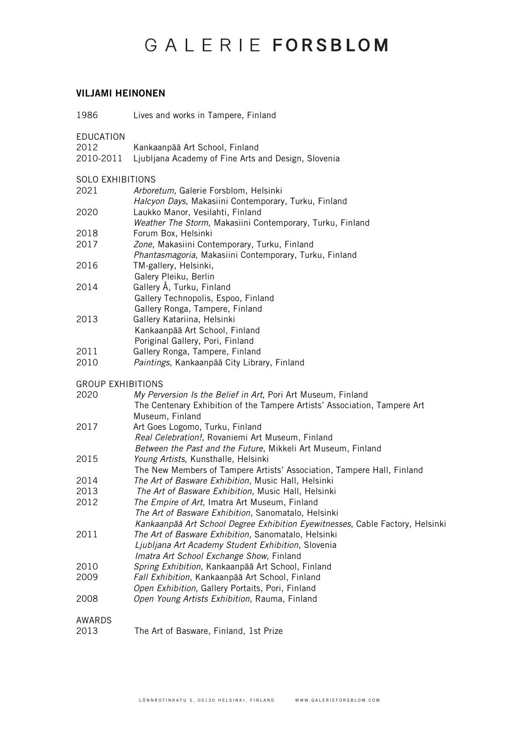## GALERIE FORSBLOM

## VILJAMI HEINONEN

1986 Lives and works in Tampere, Finland

EDUCATION<br>2012

- 2012 Kankaanpää Art School, Finland
- 2010-2011 Ljubljana Academy of Fine Arts and Design, Slovenia

SOLO EXHIBITIONS<br>2021 Arbore

- 2021 *Arboretum,* Galerie Forsblom, Helsinki *Halcyon Days*, Makasiini Contemporary, Turku, Finland 2020 Laukko Manor, Vesilahti, Finland *Weather The Storm*, Makasiini Contemporary, Turku, Finland 2018 Forum Box, Helsinki<br>2017 *Zone*, Makasiini Cont 2017 *Zone*, Makasiini Contemporary, Turku, Finland
- *Phantasmagoria*, Makasiini Contemporary, Turku, Finland 2016 TM-gallery, Helsinki,
- Galery Pleiku, Berlin 2014 Gallery Å, Turku, Finland
- Gallery Technopolis, Espoo, Finland Gallery Ronga, Tampere, Finland
- 2013 Gallery Katariina, Helsinki Kankaanpää Art School, Finland Poriginal Gallery, Pori, Finland
- 2011 Gallery Ronga, Tampere, Finland<br>2010 Paintings, Kankaanpää City Libra
- Paintings, Kankaanpää City Library, Finland

GROUP EXHIBITIONS

| 2020   | My Perversion Is the Belief in Art, Pori Art Museum, Finland                  |
|--------|-------------------------------------------------------------------------------|
|        | The Centenary Exhibition of the Tampere Artists' Association, Tampere Art     |
|        | Museum, Finland                                                               |
| 2017   | Art Goes Logomo, Turku, Finland                                               |
|        | Real Celebration!, Rovaniemi Art Museum, Finland                              |
|        | Between the Past and the Future, Mikkeli Art Museum, Finland                  |
| 2015   | Young Artists, Kunsthalle, Helsinki                                           |
|        | The New Members of Tampere Artists' Association, Tampere Hall, Finland        |
| 2014   | The Art of Basware Exhibition, Music Hall, Helsinki                           |
| 2013   | The Art of Basware Exhibition, Music Hall, Helsinki                           |
| 2012   | The Empire of Art, Imatra Art Museum, Finland                                 |
|        | The Art of Basware Exhibition, Sanomatalo, Helsinki                           |
|        | Kankaanpää Art School Degree Exhibition Eyewitnesses, Cable Factory, Helsinki |
| 2011   | The Art of Basware Exhibition, Sanomatalo, Helsinki                           |
|        | Ljubljana Art Academy Student Exhibition, Slovenia                            |
|        | Imatra Art School Exchange Show, Finland                                      |
| 2010   | Spring Exhibition, Kankaanpää Art School, Finland                             |
| 2009   | Fall Exhibition, Kankaanpää Art School, Finland                               |
|        | Open Exhibition, Gallery Portaits, Pori, Finland                              |
| 2008   | Open Young Artists Exhibition, Rauma, Finland                                 |
|        |                                                                               |
| AWARDS |                                                                               |
| 2013   | The Art of Basware, Finland, 1st Prize                                        |